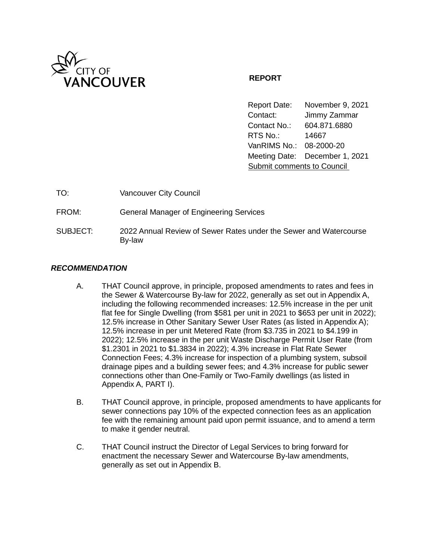

# **REPORT**

Report Date: November 9, 2021 Contact: Jimmy Zammar Contact No.: 604.871.6880 RTS No.: 14667 VanRIMS No.: 08-2000-20 Meeting Date: December 1, 2021 Submit comments to Council

| TO:      | <b>Vancouver City Council</b>                                               |
|----------|-----------------------------------------------------------------------------|
| FROM:    | <b>General Manager of Engineering Services</b>                              |
| SUBJECT: | 2022 Annual Review of Sewer Rates under the Sewer and Watercourse<br>By-law |

# *RECOMMENDATION*

- A. THAT Council approve, in principle, proposed amendments to rates and fees in the Sewer & Watercourse By-law for 2022, generally as set out in Appendix A, including the following recommended increases: 12.5% increase in the per unit flat fee for Single Dwelling (from \$581 per unit in 2021 to \$653 per unit in 2022); 12.5% increase in Other Sanitary Sewer User Rates (as listed in Appendix A); 12.5% increase in per unit Metered Rate (from \$3.735 in 2021 to \$4.199 in 2022); 12.5% increase in the per unit Waste Discharge Permit User Rate (from \$1.2301 in 2021 to \$1.3834 in 2022); 4.3% increase in Flat Rate Sewer Connection Fees; 4.3% increase for inspection of a plumbing system, subsoil drainage pipes and a building sewer fees; and 4.3% increase for public sewer connections other than One-Family or Two-Family dwellings (as listed in Appendix A, PART I).
- B. THAT Council approve, in principle, proposed amendments to have applicants for sewer connections pay 10% of the expected connection fees as an application fee with the remaining amount paid upon permit issuance, and to amend a term to make it gender neutral.
- C. THAT Council instruct the Director of Legal Services to bring forward for enactment the necessary Sewer and Watercourse By-law amendments, generally as set out in Appendix B.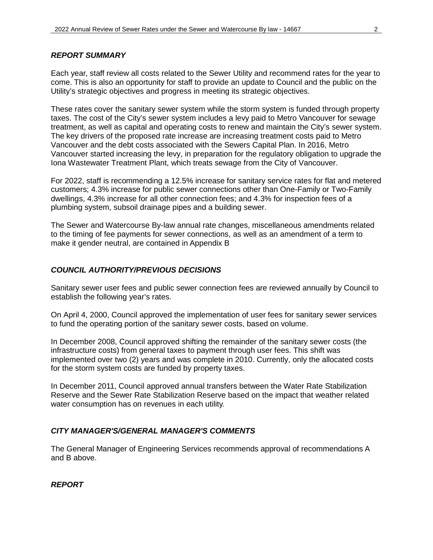### *REPORT SUMMARY*

Each year, staff review all costs related to the Sewer Utility and recommend rates for the year to come. This is also an opportunity for staff to provide an update to Council and the public on the Utility's strategic objectives and progress in meeting its strategic objectives.

These rates cover the sanitary sewer system while the storm system is funded through property taxes. The cost of the City's sewer system includes a levy paid to Metro Vancouver for sewage treatment, as well as capital and operating costs to renew and maintain the City's sewer system. The key drivers of the proposed rate increase are increasing treatment costs paid to Metro Vancouver and the debt costs associated with the Sewers Capital Plan. In 2016, Metro Vancouver started increasing the levy, in preparation for the regulatory obligation to upgrade the Iona Wastewater Treatment Plant, which treats sewage from the City of Vancouver.

For 2022, staff is recommending a 12.5% increase for sanitary service rates for flat and metered customers; 4.3% increase for public sewer connections other than One-Family or Two-Family dwellings, 4.3% increase for all other connection fees; and 4.3% for inspection fees of a plumbing system, subsoil drainage pipes and a building sewer.

The Sewer and Watercourse By-law annual rate changes, miscellaneous amendments related to the timing of fee payments for sewer connections, as well as an amendment of a term to make it gender neutral, are contained in Appendix B

# *COUNCIL AUTHORITY/PREVIOUS DECISIONS*

Sanitary sewer user fees and public sewer connection fees are reviewed annually by Council to establish the following year's rates.

On April 4, 2000, Council approved the implementation of user fees for sanitary sewer services to fund the operating portion of the sanitary sewer costs, based on volume.

In December 2008, Council approved shifting the remainder of the sanitary sewer costs (the infrastructure costs) from general taxes to payment through user fees. This shift was implemented over two (2) years and was complete in 2010. Currently, only the allocated costs for the storm system costs are funded by property taxes.

In December 2011, Council approved annual transfers between the Water Rate Stabilization Reserve and the Sewer Rate Stabilization Reserve based on the impact that weather related water consumption has on revenues in each utility.

### *CITY MANAGER'S/GENERAL MANAGER'S COMMENTS*

The General Manager of Engineering Services recommends approval of recommendations A and B above.

*REPORT*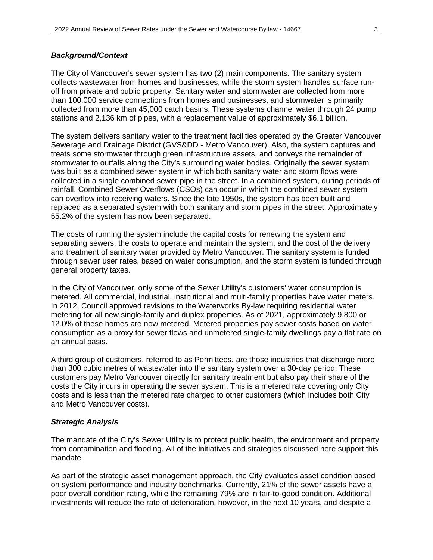### *Background/Context*

The City of Vancouver's sewer system has two (2) main components. The sanitary system collects wastewater from homes and businesses, while the storm system handles surface runoff from private and public property. Sanitary water and stormwater are collected from more than 100,000 service connections from homes and businesses, and stormwater is primarily collected from more than 45,000 catch basins. These systems channel water through 24 pump stations and 2,136 km of pipes, with a replacement value of approximately \$6.1 billion.

The system delivers sanitary water to the treatment facilities operated by the Greater Vancouver Sewerage and Drainage District (GVS&DD - Metro Vancouver). Also, the system captures and treats some stormwater through green infrastructure assets, and conveys the remainder of stormwater to outfalls along the City's surrounding water bodies. Originally the sewer system was built as a combined sewer system in which both sanitary water and storm flows were collected in a single combined sewer pipe in the street. In a combined system, during periods of rainfall, Combined Sewer Overflows (CSOs) can occur in which the combined sewer system can overflow into receiving waters. Since the late 1950s, the system has been built and replaced as a separated system with both sanitary and storm pipes in the street. Approximately 55.2% of the system has now been separated.

The costs of running the system include the capital costs for renewing the system and separating sewers, the costs to operate and maintain the system, and the cost of the delivery and treatment of sanitary water provided by Metro Vancouver. The sanitary system is funded through sewer user rates, based on water consumption, and the storm system is funded through general property taxes.

In the City of Vancouver, only some of the Sewer Utility's customers' water consumption is metered. All commercial, industrial, institutional and multi-family properties have water meters. In 2012, Council approved revisions to the Waterworks By-law requiring residential water metering for all new single-family and duplex properties. As of 2021, approximately 9,800 or 12.0% of these homes are now metered. Metered properties pay sewer costs based on water consumption as a proxy for sewer flows and unmetered single-family dwellings pay a flat rate on an annual basis.

A third group of customers, referred to as Permittees, are those industries that discharge more than 300 cubic metres of wastewater into the sanitary system over a 30-day period. These customers pay Metro Vancouver directly for sanitary treatment but also pay their share of the costs the City incurs in operating the sewer system. This is a metered rate covering only City costs and is less than the metered rate charged to other customers (which includes both City and Metro Vancouver costs).

### *Strategic Analysis*

The mandate of the City's Sewer Utility is to protect public health, the environment and property from contamination and flooding. All of the initiatives and strategies discussed here support this mandate.

As part of the strategic asset management approach, the City evaluates asset condition based on system performance and industry benchmarks. Currently, 21% of the sewer assets have a poor overall condition rating, while the remaining 79% are in fair-to-good condition. Additional investments will reduce the rate of deterioration; however, in the next 10 years, and despite a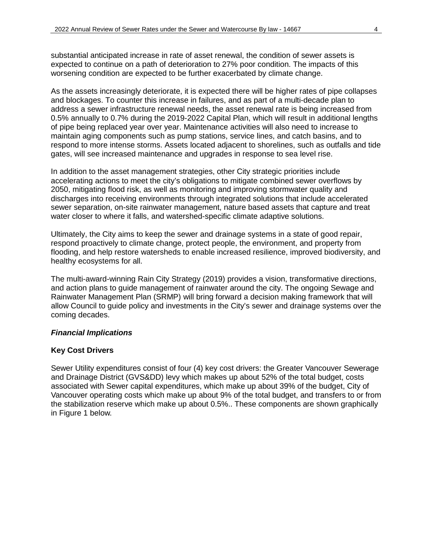substantial anticipated increase in rate of asset renewal, the condition of sewer assets is expected to continue on a path of deterioration to 27% poor condition. The impacts of this worsening condition are expected to be further exacerbated by climate change.

As the assets increasingly deteriorate, it is expected there will be higher rates of pipe collapses and blockages. To counter this increase in failures, and as part of a multi-decade plan to address a sewer infrastructure renewal needs, the asset renewal rate is being increased from 0.5% annually to 0.7% during the 2019-2022 Capital Plan, which will result in additional lengths of pipe being replaced year over year. Maintenance activities will also need to increase to maintain aging components such as pump stations, service lines, and catch basins, and to respond to more intense storms. Assets located adjacent to shorelines, such as outfalls and tide gates, will see increased maintenance and upgrades in response to sea level rise.

In addition to the asset management strategies, other City strategic priorities include accelerating actions to meet the city's obligations to mitigate combined sewer overflows by 2050, mitigating flood risk, as well as monitoring and improving stormwater quality and discharges into receiving environments through integrated solutions that include accelerated sewer separation, on-site rainwater management, nature based assets that capture and treat water closer to where it falls, and watershed-specific climate adaptive solutions.

Ultimately, the City aims to keep the sewer and drainage systems in a state of good repair, respond proactively to climate change, protect people, the environment, and property from flooding, and help restore watersheds to enable increased resilience, improved biodiversity, and healthy ecosystems for all.

The multi-award-winning Rain City Strategy (2019) provides a vision, transformative directions, and action plans to guide management of rainwater around the city. The ongoing Sewage and Rainwater Management Plan (SRMP) will bring forward a decision making framework that will allow Council to guide policy and investments in the City's sewer and drainage systems over the coming decades.

### *Financial Implications*

# **Key Cost Drivers**

Sewer Utility expenditures consist of four (4) key cost drivers: the Greater Vancouver Sewerage and Drainage District (GVS&DD) levy which makes up about 52% of the total budget, costs associated with Sewer capital expenditures, which make up about 39% of the budget, City of Vancouver operating costs which make up about 9% of the total budget, and transfers to or from the stabilization reserve which make up about 0.5%.. These components are shown graphically in Figure 1 below.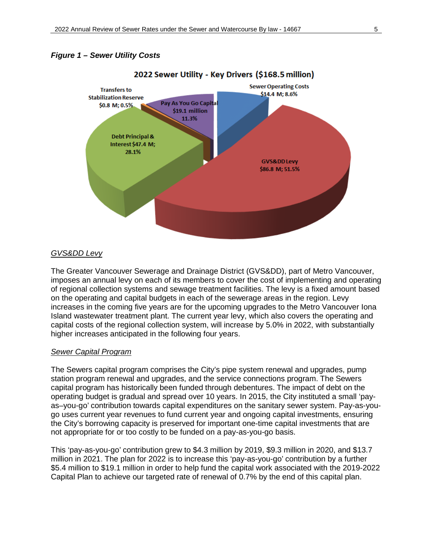### *Figure 1 – Sewer Utility Costs*



#### *GVS&DD Levy*

The Greater Vancouver Sewerage and Drainage District (GVS&DD), part of Metro Vancouver, imposes an annual levy on each of its members to cover the cost of implementing and operating of regional collection systems and sewage treatment facilities. The levy is a fixed amount based on the operating and capital budgets in each of the sewerage areas in the region. Levy increases in the coming five years are for the upcoming upgrades to the Metro Vancouver Iona Island wastewater treatment plant. The current year levy, which also covers the operating and capital costs of the regional collection system, will increase by 5.0% in 2022, with substantially higher increases anticipated in the following four years.

#### *Sewer Capital Program*

The Sewers capital program comprises the City's pipe system renewal and upgrades, pump station program renewal and upgrades, and the service connections program. The Sewers capital program has historically been funded through debentures. The impact of debt on the operating budget is gradual and spread over 10 years. In 2015, the City instituted a small 'payas–you-go' contribution towards capital expenditures on the sanitary sewer system. Pay-as-yougo uses current year revenues to fund current year and ongoing capital investments, ensuring the City's borrowing capacity is preserved for important one-time capital investments that are not appropriate for or too costly to be funded on a pay-as-you-go basis.

This 'pay-as-you-go' contribution grew to \$4.3 million by 2019, \$9.3 million in 2020, and \$13.7 million in 2021. The plan for 2022 is to increase this 'pay-as-you-go' contribution by a further \$5.4 million to \$19.1 million in order to help fund the capital work associated with the 2019-2022 Capital Plan to achieve our targeted rate of renewal of 0.7% by the end of this capital plan.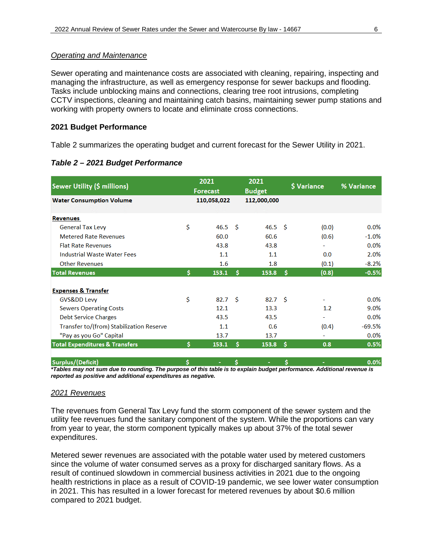#### *Operating and Maintenance*

Sewer operating and maintenance costs are associated with cleaning, repairing, inspecting and managing the infrastructure, as well as emergency response for sewer backups and flooding. Tasks include unblocking mains and connections, clearing tree root intrusions, completing CCTV inspections, cleaning and maintaining catch basins, maintaining sewer pump stations and working with property owners to locate and eliminate cross connections.

#### **2021 Budget Performance**

Table 2 summarizes the operating budget and current forecast for the Sewer Utility in 2021.

| Sewer Utility (\$ millions)               |    | 2021<br><b>Forecast</b> |    | 2021<br><b>Budget</b> |    | \$ Variance              | % Variance |  |
|-------------------------------------------|----|-------------------------|----|-----------------------|----|--------------------------|------------|--|
| <b>Water Consumption Volume</b>           |    | 110,058,022             |    | 112,000,000           |    |                          |            |  |
|                                           |    |                         |    |                       |    |                          |            |  |
| <b>Revenues</b>                           |    |                         |    |                       |    |                          |            |  |
| <b>General Tax Levy</b>                   | \$ | 46.5 <sup>5</sup>       |    | $46.5\quad$           |    | (0.0)                    | $0.0\%$    |  |
| <b>Metered Rate Revenues</b>              |    | 60.0                    |    | 60.6                  |    | (0.6)                    | $-1.0%$    |  |
| <b>Flat Rate Revenues</b>                 |    | 43.8                    |    | 43.8                  |    | ٠                        | 0.0%       |  |
| <b>Industrial Waste Water Fees</b>        |    | 1.1                     |    | 1.1                   |    | 0.0                      | 2.0%       |  |
| <b>Other Revenues</b>                     |    | 1.6                     |    | 1.8                   |    | (0.1)                    | $-8.2%$    |  |
| <b>Total Revenues</b>                     | Ś. | 153.1                   | Ŝ  | 153.8                 | Ŝ  | (0.8)                    | $-0.5%$    |  |
| <b>Expenses &amp; Transfer</b>            |    |                         |    |                       |    |                          |            |  |
| GVSⅅ Levy                                 | Ś  | 82.7 <sup>5</sup>       |    | 82.7 <sup>5</sup>     |    |                          | $0.0\%$    |  |
| <b>Sewers Operating Costs</b>             |    | 12.1                    |    | 13.3                  |    | 1.2                      | 9.0%       |  |
| <b>Debt Service Charges</b>               |    | 43.5                    |    | 43.5                  |    |                          | $0.0\%$    |  |
| Transfer to/(from) Stabilization Reserve  |    | 1.1                     |    | 0.6                   |    | (0.4)                    | $-69.5%$   |  |
| "Pay as you Go" Capital                   |    | 13.7                    |    | 13.7                  |    | $\overline{\phantom{0}}$ | 0.0%       |  |
| <b>Total Expenditures &amp; Transfers</b> | Ś. | 153.1                   | s  | 153.8                 | Ŝ  | 0.8                      | 0.5%       |  |
| Surplus/(Deficit)                         | Ś. | ٠                       | Ŝ. |                       | Ś. |                          | 0.0%       |  |

*\*Tables may not sum due to rounding. The purpose of this table is to explain budget performance. Additional revenue is reported as positive and additional expenditures as negative.*

#### *2021 Revenues*

The revenues from General Tax Levy fund the storm component of the sewer system and the utility fee revenues fund the sanitary component of the system. While the proportions can vary from year to year, the storm component typically makes up about 37% of the total sewer expenditures.

Metered sewer revenues are associated with the potable water used by metered customers since the volume of water consumed serves as a proxy for discharged sanitary flows. As a result of continued slowdown in commercial business activities in 2021 due to the ongoing health restrictions in place as a result of COVID-19 pandemic, we see lower water consumption in 2021. This has resulted in a lower forecast for metered revenues by about \$0.6 million compared to 2021 budget.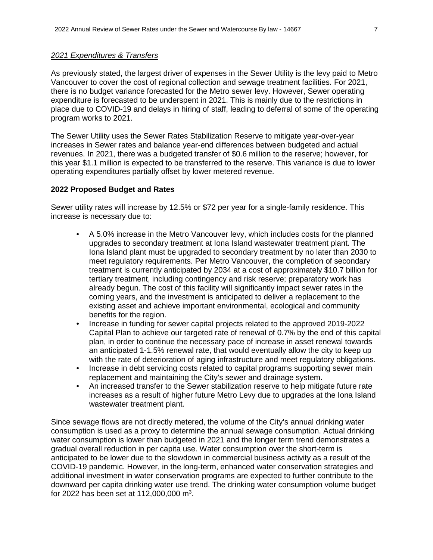#### *2021 Expenditures & Transfers*

As previously stated, the largest driver of expenses in the Sewer Utility is the levy paid to Metro Vancouver to cover the cost of regional collection and sewage treatment facilities. For 2021, there is no budget variance forecasted for the Metro sewer levy. However, Sewer operating expenditure is forecasted to be underspent in 2021. This is mainly due to the restrictions in place due to COVID-19 and delays in hiring of staff, leading to deferral of some of the operating program works to 2021.

The Sewer Utility uses the Sewer Rates Stabilization Reserve to mitigate year-over-year increases in Sewer rates and balance year-end differences between budgeted and actual revenues. In 2021, there was a budgeted transfer of \$0.6 million to the reserve; however, for this year \$1.1 million is expected to be transferred to the reserve. This variance is due to lower operating expenditures partially offset by lower metered revenue.

#### **2022 Proposed Budget and Rates**

Sewer utility rates will increase by 12.5% or \$72 per year for a single-family residence. This increase is necessary due to:

- A 5.0% increase in the Metro Vancouver levy, which includes costs for the planned upgrades to secondary treatment at Iona Island wastewater treatment plant. The Iona Island plant must be upgraded to secondary treatment by no later than 2030 to meet regulatory requirements. Per Metro Vancouver, the completion of secondary treatment is currently anticipated by 2034 at a cost of approximately \$10.7 billion for tertiary treatment, including contingency and risk reserve; preparatory work has already begun. The cost of this facility will significantly impact sewer rates in the coming years, and the investment is anticipated to deliver a replacement to the existing asset and achieve important environmental, ecological and community benefits for the region.
- Increase in funding for sewer capital projects related to the approved 2019-2022 Capital Plan to achieve our targeted rate of renewal of 0.7% by the end of this capital plan, in order to continue the necessary pace of increase in asset renewal towards an anticipated 1-1.5% renewal rate, that would eventually allow the city to keep up with the rate of deterioration of aging infrastructure and meet regulatory obligations.
- Increase in debt servicing costs related to capital programs supporting sewer main replacement and maintaining the City's sewer and drainage system.
- An increased transfer to the Sewer stabilization reserve to help mitigate future rate increases as a result of higher future Metro Levy due to upgrades at the Iona Island wastewater treatment plant.

Since sewage flows are not directly metered, the volume of the City's annual drinking water consumption is used as a proxy to determine the annual sewage consumption. Actual drinking water consumption is lower than budgeted in 2021 and the longer term trend demonstrates a gradual overall reduction in per capita use. Water consumption over the short-term is anticipated to be lower due to the slowdown in commercial business activity as a result of the COVID-19 pandemic. However, in the long-term, enhanced water conservation strategies and additional investment in water conservation programs are expected to further contribute to the downward per capita drinking water use trend. The drinking water consumption volume budget for 2022 has been set at 112,000,000 m<sup>3</sup>.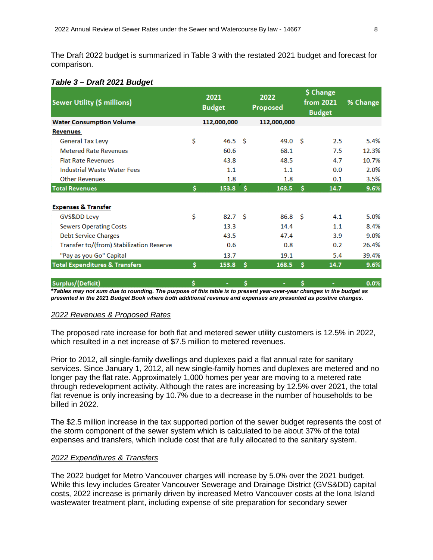The Draft 2022 budget is summarized in Table 3 with the restated 2021 budget and forecast for comparison.

### *Table 3 – Draft 2021 Budget*

| Sewer Utility (\$ millions)               |    | 2021<br><b>Budget</b> |    | 2022<br>Proposed  |    | \$ Change<br>from 2021<br><b>Budget</b> | % Change |
|-------------------------------------------|----|-----------------------|----|-------------------|----|-----------------------------------------|----------|
| <b>Water Consumption Volume</b>           |    | 112,000,000           |    | 112,000,000       |    |                                         |          |
| <b>Revenues</b>                           |    |                       |    |                   |    |                                         |          |
| <b>General Tax Levy</b>                   | \$ | 46.5 <sup>5</sup>     |    | 49.0 <sup>5</sup> |    | 2.5                                     | 5.4%     |
| <b>Metered Rate Revenues</b>              |    | 60.6                  |    | 68.1              |    | 7.5                                     | 12.3%    |
| <b>Flat Rate Revenues</b>                 |    | 43.8                  |    | 48.5              |    | 4.7                                     | 10.7%    |
| <b>Industrial Waste Water Fees</b>        |    | 1.1                   |    | 1.1               |    | 0.0                                     | 2.0%     |
| <b>Other Revenues</b>                     |    | 1.8                   |    | 1.8               |    | 0.1                                     | 3.5%     |
| <b>Total Revenues</b>                     | \$ | 153.8                 | \$ | 168.5             | s  | 14.7                                    | 9.6%     |
| <b>Expenses &amp; Transfer</b>            |    |                       |    |                   |    |                                         |          |
| GVSⅅ Levy                                 | \$ | 82.7 <sup>5</sup>     |    | 86.8 <sup>5</sup> |    | 4.1                                     | 5.0%     |
| <b>Sewers Operating Costs</b>             |    | 13.3                  |    | 14.4              |    | 1.1                                     | 8.4%     |
| <b>Debt Service Charges</b>               |    | 43.5                  |    | 47.4              |    | 3.9                                     | 9.0%     |
| Transfer to/(from) Stabilization Reserve  |    | 0.6                   |    | 0.8               |    | 0.2                                     | 26.4%    |
| "Pay as you Go" Capital                   |    | 13.7                  |    | 19.1              |    | 5.4                                     | 39.4%    |
| <b>Total Expenditures &amp; Transfers</b> | Ś  | 153.8                 | Ŝ  | 168.5             | s  | 14.7                                    | 9.6%     |
| Surplus/(Deficit)                         | \$ | ٠                     | \$ | ۰                 | \$ |                                         | 0.0%     |

*\*Tables may not sum due to rounding. The purpose of this table is to present year-over-year changes in the budget as presented in the 2021 Budget Book where both additional revenue and expenses are presented as positive changes.* 

### *2022 Revenues & Proposed Rates*

The proposed rate increase for both flat and metered sewer utility customers is 12.5% in 2022, which resulted in a net increase of \$7.5 million to metered revenues.

Prior to 2012, all single-family dwellings and duplexes paid a flat annual rate for sanitary services. Since January 1, 2012, all new single-family homes and duplexes are metered and no longer pay the flat rate. Approximately 1,000 homes per year are moving to a metered rate through redevelopment activity. Although the rates are increasing by 12.5% over 2021, the total flat revenue is only increasing by 10.7% due to a decrease in the number of households to be billed in 2022.

The \$2.5 million increase in the tax supported portion of the sewer budget represents the cost of the storm component of the sewer system which is calculated to be about 37% of the total expenses and transfers, which include cost that are fully allocated to the sanitary system.

### *2022 Expenditures & Transfers*

The 2022 budget for Metro Vancouver charges will increase by 5.0% over the 2021 budget. While this levy includes Greater Vancouver Sewerage and Drainage District (GVS&DD) capital costs, 2022 increase is primarily driven by increased Metro Vancouver costs at the Iona Island wastewater treatment plant, including expense of site preparation for secondary sewer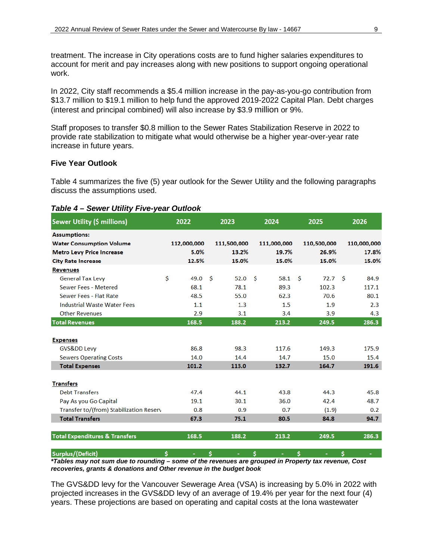treatment. The increase in City operations costs are to fund higher salaries expenditures to account for merit and pay increases along with new positions to support ongoing operational work.

In 2022, City staff recommends a \$5.4 million increase in the pay-as-you-go contribution from \$13.7 million to \$19.1 million to help fund the approved 2019-2022 Capital Plan. Debt charges (interest and principal combined) will also increase by \$3.9 million or 9%.

Staff proposes to transfer \$0.8 million to the Sewer Rates Stabilization Reserve in 2022 to provide rate stabilization to mitigate what would otherwise be a higher year-over-year rate increase in future years.

### **Five Year Outlook**

Table 4 summarizes the five (5) year outlook for the Sewer Utility and the following paragraphs discuss the assumptions used.

| Table 4 – Sewer Utility Five-year Outlook |  |  |
|-------------------------------------------|--|--|
|                                           |  |  |

| Sewer Utility (\$ millions)               | 2022        | 2023        | 2024        | 2025        | 2026        |
|-------------------------------------------|-------------|-------------|-------------|-------------|-------------|
| <b>Assumptions:</b>                       |             |             |             |             |             |
| <b>Water Consumption Volume</b>           | 112,000,000 | 111,500,000 | 111,000,000 | 110,500,000 | 110,000,000 |
| <b>Metro Levy Price Increase</b>          | 5.0%        | 13.2%       | 19.7%       | 26.9%       | 17.8%       |
| <b>City Rate Increase</b>                 | 12.5%       | 15.0%       | 15.0%       | 15.0%       | 15.0%       |
| <b>Revenues</b>                           |             |             |             |             |             |
| <b>General Tax Levy</b>                   | \$<br>49.0  | -Ś<br>52.0  | Ŝ<br>58.1   | -Ś<br>72.7  | -Ś<br>84.9  |
| Sewer Fees - Metered                      | 68.1        | 78.1        | 89.3        | 102.3       | 117.1       |
| Sewer Fees - Flat Rate                    | 48.5        | 55.0        | 62.3        | 70.6        | 80.1        |
| <b>Industrial Waste Water Fees</b>        | 1.1         | 1.3         | 1.5         | 1.9         | 2.3         |
| <b>Other Revenues</b>                     | 2.9         | 3.1         | 3.4         | 3.9         | 4.3         |
| <b>Total Revenues</b>                     | 168.5       | 188.2       | 213.2       | 249.5       | 286.3       |
| <b>Expenses</b>                           |             |             |             |             |             |
| GVSⅅ Levy                                 | 86.8        | 98.3        | 117.6       | 149.3       | 175.9       |
| <b>Sewers Operating Costs</b>             | 14.0        | 14.4        | 14.7        | 15.0        | 15.4        |
| <b>Total Expenses</b>                     | 101.2       | 113.0       | 132.7       | 164.7       | 191.6       |
| <b>Transfers</b>                          |             |             |             |             |             |
| <b>Debt Transfers</b>                     | 47.4        | 44.1        | 43.8        | 44.3        | 45.8        |
| Pay As you Go Capital                     | 19.1        | 30.1        | 36.0        | 42.4        | 48.7        |
| Transfer to/(from) Stabilization Reserv   | 0.8         | 0.9         | 0.7         | (1.9)       | 0.2         |
| <b>Total Transfers</b>                    | 67.3        | 75.1        | 80.5        | 84.8        | 94.7        |
| <b>Total Expenditures &amp; Transfers</b> | 168.5       | 188.2       | 213.2       | 249.5       | 286.3       |
| Surplus/(Deficit)                         | \$          | \$          | \$          | \$          | \$          |

*\*Tables may not sum due to rounding – some of the revenues are grouped in Property tax revenue, Cost recoveries, grants & donations and Other revenue in the budget book* 

The GVS&DD levy for the Vancouver Sewerage Area (VSA) is increasing by 5.0% in 2022 with projected increases in the GVS&DD levy of an average of 19.4% per year for the next four (4) years. These projections are based on operating and capital costs at the Iona wastewater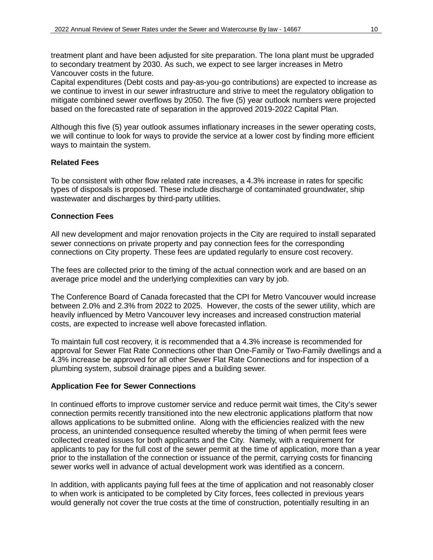treatment plant and have been adjusted for site preparation. The Iona plant must be upgraded to secondary treatment by 2030. As such, we expect to see larger increases in Metro Vancouver costs in the future.

Capital expenditures (Debt costs and pay-as-you-go contributions) are expected to increase as we continue to invest in our sewer infrastructure and strive to meet the regulatory obligation to mitigate combined sewer overflows by 2050. The five (5) year outlook numbers were projected based on the forecasted rate of separation in the approved 2019-2022 Capital Plan.

Although this five (5) year outlook assumes inflationary increases in the sewer operating costs, we will continue to look for ways to provide the service at a lower cost by finding more efficient ways to maintain the system.

### **Related Fees**

To be consistent with other flow related rate increases, a 4.3% increase in rates for specific types of disposals is proposed. These include discharge of contaminated groundwater, ship wastewater and discharges by third-party utilities.

### **Connection Fees**

All new development and major renovation projects in the City are required to install separated sewer connections on private property and pay connection fees for the corresponding connections on City property. These fees are updated regularly to ensure cost recovery.

The fees are collected prior to the timing of the actual connection work and are based on an average price model and the underlying complexities can vary by job.

The Conference Board of Canada forecasted that the CPI for Metro Vancouver would increase between 2.0% and 2.3% from 2022 to 2025. However, the costs of the sewer utility, which are heavily influenced by Metro Vancouver levy increases and increased construction material costs, are expected to increase well above forecasted inflation.

To maintain full cost recovery, it is recommended that a 4.3% increase is recommended for approval for Sewer Flat Rate Connections other than One-Family or Two-Family dwellings and a 4.3% increase be approved for all other Sewer Flat Rate Connections and for inspection of a plumbing system, subsoil drainage pipes and a building sewer.

### **Application Fee for Sewer Connections**

In continued efforts to improve customer service and reduce permit wait times, the City's sewer connection permits recently transitioned into the new electronic applications platform that now allows applications to be submitted online. Along with the efficiencies realized with the new process, an unintended consequence resulted whereby the timing of when permit fees were collected created issues for both applicants and the City. Namely, with a requirement for applicants to pay for the full cost of the sewer permit at the time of application, more than a year prior to the installation of the connection or issuance of the permit, carrying costs for financing sewer works well in advance of actual development work was identified as a concern.

In addition, with applicants paying full fees at the time of application and not reasonably closer to when work is anticipated to be completed by City forces, fees collected in previous years would generally not cover the true costs at the time of construction, potentially resulting in an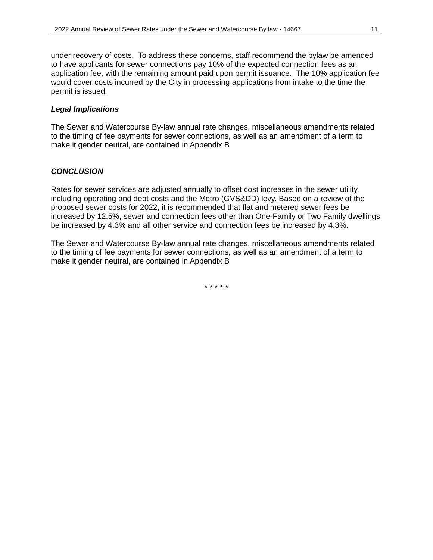under recovery of costs. To address these concerns, staff recommend the bylaw be amended to have applicants for sewer connections pay 10% of the expected connection fees as an application fee, with the remaining amount paid upon permit issuance. The 10% application fee would cover costs incurred by the City in processing applications from intake to the time the permit is issued.

# *Legal Implications*

The Sewer and Watercourse By-law annual rate changes, miscellaneous amendments related to the timing of fee payments for sewer connections, as well as an amendment of a term to make it gender neutral, are contained in Appendix B

# *CONCLUSION*

Rates for sewer services are adjusted annually to offset cost increases in the sewer utility, including operating and debt costs and the Metro (GVS&DD) levy. Based on a review of the proposed sewer costs for 2022, it is recommended that flat and metered sewer fees be increased by 12.5%, sewer and connection fees other than One-Family or Two Family dwellings be increased by 4.3% and all other service and connection fees be increased by 4.3%.

The Sewer and Watercourse By-law annual rate changes, miscellaneous amendments related to the timing of fee payments for sewer connections, as well as an amendment of a term to make it gender neutral, are contained in Appendix B

\* \* \* \* \*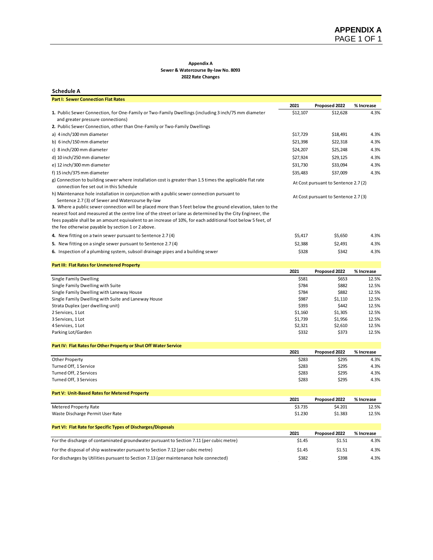#### **Appendix A Sewer & Watercourse By-law No. 8093**

**2022 Rate Changes**

| <b>Schedule A</b>                                                                                                                                                                                                                                                                                                                                                          |                    |                                     |                |
|----------------------------------------------------------------------------------------------------------------------------------------------------------------------------------------------------------------------------------------------------------------------------------------------------------------------------------------------------------------------------|--------------------|-------------------------------------|----------------|
| <b>Part I: Sewer Connection Flat Rates</b>                                                                                                                                                                                                                                                                                                                                 |                    |                                     |                |
|                                                                                                                                                                                                                                                                                                                                                                            | 2021               | Proposed 2022                       | % Increase     |
| 1. Public Sewer Connection, for One-Family or Two-Family Dwellings (including 3 inch/75 mm diameter<br>and greater pressure connections)                                                                                                                                                                                                                                   | \$12,107           | \$12,628                            | 4.3%           |
| 2. Public Sewer Connection, other than One-Family or Two-Family Dwellings                                                                                                                                                                                                                                                                                                  |                    |                                     |                |
| a) 4 inch/100 mm diameter                                                                                                                                                                                                                                                                                                                                                  | \$17,729           | \$18,491                            | 4.3%           |
| b) 6 inch/150 mm diameter                                                                                                                                                                                                                                                                                                                                                  | \$21,398           | \$22,318                            | 4.3%           |
| c) 8 inch/200 mm diameter                                                                                                                                                                                                                                                                                                                                                  | \$24,207           | \$25,248                            | 4.3%           |
| d) 10 inch/250 mm diameter                                                                                                                                                                                                                                                                                                                                                 | \$27,924           | \$29,125                            | 4.3%           |
| e) 12 inch/300 mm diameter                                                                                                                                                                                                                                                                                                                                                 | \$31,730           | \$33,094                            | 4.3%           |
| f) 15 inch/375 mm diameter                                                                                                                                                                                                                                                                                                                                                 | \$35,483           | \$37,009                            | 4.3%           |
| g) Connection to building sewer where installation cost is greater than 1.5 times the applicable flat rate<br>connection fee set out in this Schedule                                                                                                                                                                                                                      |                    | At Cost pursuant to Sentence 2.7(2) |                |
| h) Maintenance hole installation in conjunction with a public sewer connection pursuant to<br>Sentence 2.7(3) of Sewer and Watercourse By-law<br>3. Where a public sewer connection will be placed more than 5 feet below the ground elevation, taken to the<br>nearest foot and measured at the centre line of the street or lane as determined by the City Engineer, the |                    | At Cost pursuant to Sentence 2.7(3) |                |
| fees payable shall be an amount equivalent to an increase of 10%, for each additional foot below 5 feet, of<br>the fee otherwise payable by section 1 or 2 above.                                                                                                                                                                                                          |                    |                                     |                |
| 4. New fitting on a twin sewer pursuant to Sentence 2.7 (4)                                                                                                                                                                                                                                                                                                                | \$5,417            | \$5,650                             | 4.3%           |
| 5. New fitting on a single sewer pursuant to Sentence 2.7(4)                                                                                                                                                                                                                                                                                                               | \$2,388            | \$2,491                             | 4.3%           |
| 6. Inspection of a plumbing system, subsoil drainage pipes and a building sewer                                                                                                                                                                                                                                                                                            | \$328              | \$342                               | 4.3%           |
| Part III: Flat Rates for Unmetered Property                                                                                                                                                                                                                                                                                                                                |                    |                                     |                |
|                                                                                                                                                                                                                                                                                                                                                                            | 2021               | Proposed 2022                       | % Increase     |
| Single Family Dwelling                                                                                                                                                                                                                                                                                                                                                     | \$581              | \$653                               | 12.5%          |
| Single Family Dwelling with Suite                                                                                                                                                                                                                                                                                                                                          | \$784              | \$882                               | 12.5%          |
| Single Family Dwelling with Laneway House                                                                                                                                                                                                                                                                                                                                  | \$784              | \$882                               | 12.5%          |
| Single Family Dwelling with Suite and Laneway House                                                                                                                                                                                                                                                                                                                        | \$987              | \$1,110                             | 12.5%          |
| Strata Duplex (per dwelling unit)                                                                                                                                                                                                                                                                                                                                          | \$393              | \$442                               | 12.5%<br>12.5% |
| 2 Services, 1 Lot<br>3 Services, 1 Lot                                                                                                                                                                                                                                                                                                                                     | \$1,160<br>\$1,739 | \$1,305<br>\$1,956                  | 12.5%          |
| 4 Services, 1 Lot                                                                                                                                                                                                                                                                                                                                                          | \$2,321            | \$2,610                             | 12.5%          |
| Parking Lot/Garden                                                                                                                                                                                                                                                                                                                                                         | \$332              | \$373                               | 12.5%          |
| Part IV: Flat Rates for Other Property or Shut Off Water Service                                                                                                                                                                                                                                                                                                           |                    |                                     |                |
|                                                                                                                                                                                                                                                                                                                                                                            | 2021               | Proposed 2022                       | % Increase     |
| Other Property                                                                                                                                                                                                                                                                                                                                                             | \$283              | \$295                               | 4.3%           |
| Turned Off, 1 Service                                                                                                                                                                                                                                                                                                                                                      | \$283              | \$295                               | 4.3%           |
| Turned Off, 2 Services                                                                                                                                                                                                                                                                                                                                                     | \$283              | \$295                               | 4.3%           |
| Turned Off, 3 Services                                                                                                                                                                                                                                                                                                                                                     | \$283              | \$295                               | 4.3%           |
| Part V: Unit-Based Rates for Metered Property                                                                                                                                                                                                                                                                                                                              |                    |                                     |                |
|                                                                                                                                                                                                                                                                                                                                                                            | 2021               | Proposed 2022                       | % Increase     |
| <b>Metered Property Rate</b><br>Waste Discharge Permit User Rate                                                                                                                                                                                                                                                                                                           | \$3.735<br>\$1.230 | \$4.201<br>\$1.383                  | 12.5%<br>12.5% |
| Part VI: Flat Rate for Specific Types of Discharges/Disposals                                                                                                                                                                                                                                                                                                              |                    |                                     |                |
|                                                                                                                                                                                                                                                                                                                                                                            | 2021               | Proposed 2022                       | % Increase     |
| For the discharge of contaminated groundwater pursuant to Section 7.11 (per cubic metre)                                                                                                                                                                                                                                                                                   | \$1.45             | \$1.51                              | 4.3%           |
| For the disposal of ship wastewater pursuant to Section 7.12 (per cubic metre)                                                                                                                                                                                                                                                                                             | \$1.45             | \$1.51                              | 4.3%           |
| For discharges by Utilities pursuant to Section 7.13 (per maintenance hole connected)                                                                                                                                                                                                                                                                                      | \$382              | \$398                               | 4.3%           |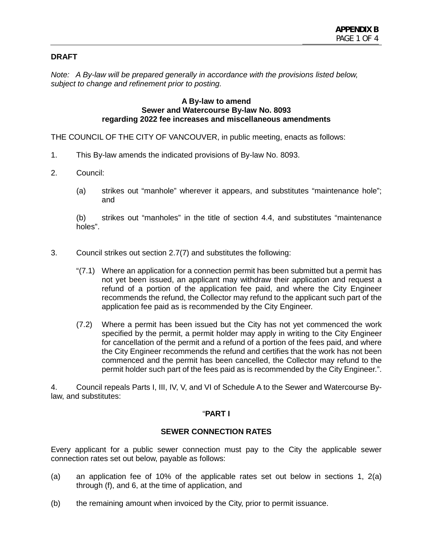# **DRAFT**

*Note: A By-law will be prepared generally in accordance with the provisions listed below, subject to change and refinement prior to posting.*

#### **A By-law to amend Sewer and Watercourse By-law No. 8093 regarding 2022 fee increases and miscellaneous amendments**

THE COUNCIL OF THE CITY OF VANCOUVER, in public meeting, enacts as follows:

- 1. This By-law amends the indicated provisions of By-law No. 8093.
- 2. Council:
	- (a) strikes out "manhole" wherever it appears, and substitutes "maintenance hole"; and

(b) strikes out "manholes" in the title of section 4.4, and substitutes "maintenance holes".

- 3. Council strikes out section 2.7(7) and substitutes the following:
	- "(7.1) Where an application for a connection permit has been submitted but a permit has not yet been issued, an applicant may withdraw their application and request a refund of a portion of the application fee paid, and where the City Engineer recommends the refund, the Collector may refund to the applicant such part of the application fee paid as is recommended by the City Engineer.
	- (7.2) Where a permit has been issued but the City has not yet commenced the work specified by the permit, a permit holder may apply in writing to the City Engineer for cancellation of the permit and a refund of a portion of the fees paid, and where the City Engineer recommends the refund and certifies that the work has not been commenced and the permit has been cancelled, the Collector may refund to the permit holder such part of the fees paid as is recommended by the City Engineer.".

4. Council repeals Parts I, III, IV, V, and VI of Schedule A to the Sewer and Watercourse Bylaw, and substitutes:

### "**PART I**

# **SEWER CONNECTION RATES**

Every applicant for a public sewer connection must pay to the City the applicable sewer connection rates set out below, payable as follows:

- (a) an application fee of 10% of the applicable rates set out below in sections 1, 2(a) through (f), and 6, at the time of application, and
- (b) the remaining amount when invoiced by the City, prior to permit issuance.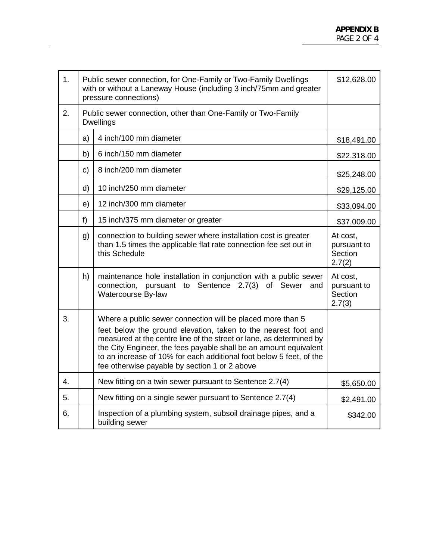| 1 <sub>1</sub>   |                                                                                  | Public sewer connection, for One-Family or Two-Family Dwellings<br>with or without a Laneway House (including 3 inch/75mm and greater<br>pressure connections)                                                                                                                                                                                                                                   | \$12,628.00                                  |  |
|------------------|----------------------------------------------------------------------------------|--------------------------------------------------------------------------------------------------------------------------------------------------------------------------------------------------------------------------------------------------------------------------------------------------------------------------------------------------------------------------------------------------|----------------------------------------------|--|
| 2.               | Public sewer connection, other than One-Family or Two-Family<br><b>Dwellings</b> |                                                                                                                                                                                                                                                                                                                                                                                                  |                                              |  |
|                  | a)                                                                               | 4 inch/100 mm diameter                                                                                                                                                                                                                                                                                                                                                                           | \$18,491.00                                  |  |
|                  | b)                                                                               | 6 inch/150 mm diameter                                                                                                                                                                                                                                                                                                                                                                           | \$22,318.00                                  |  |
|                  | c)                                                                               | 8 inch/200 mm diameter                                                                                                                                                                                                                                                                                                                                                                           | \$25,248.00                                  |  |
|                  | $\mathsf{d}$                                                                     | 10 inch/250 mm diameter                                                                                                                                                                                                                                                                                                                                                                          | \$29,125.00                                  |  |
|                  | e)                                                                               | 12 inch/300 mm diameter                                                                                                                                                                                                                                                                                                                                                                          | \$33,094.00                                  |  |
|                  | f)                                                                               | 15 inch/375 mm diameter or greater                                                                                                                                                                                                                                                                                                                                                               | \$37,009.00                                  |  |
|                  | g)                                                                               | connection to building sewer where installation cost is greater<br>than 1.5 times the applicable flat rate connection fee set out in<br>this Schedule                                                                                                                                                                                                                                            | At cost,<br>pursuant to<br>Section<br>2.7(2) |  |
|                  | h)                                                                               | maintenance hole installation in conjunction with a public sewer<br>connection, pursuant to Sentence 2.7(3) of Sewer<br>and<br>Watercourse By-law                                                                                                                                                                                                                                                | At cost,<br>pursuant to<br>Section<br>2.7(3) |  |
| 3.               |                                                                                  | Where a public sewer connection will be placed more than 5<br>feet below the ground elevation, taken to the nearest foot and<br>measured at the centre line of the street or lane, as determined by<br>the City Engineer, the fees payable shall be an amount equivalent<br>to an increase of 10% for each additional foot below 5 feet, of the<br>fee otherwise payable by section 1 or 2 above |                                              |  |
| $\overline{4}$ . |                                                                                  | New fitting on a twin sewer pursuant to Sentence 2.7(4)                                                                                                                                                                                                                                                                                                                                          | \$5,650.00                                   |  |
| 5.               |                                                                                  | New fitting on a single sewer pursuant to Sentence 2.7(4)                                                                                                                                                                                                                                                                                                                                        | \$2,491.00                                   |  |
| 6.               |                                                                                  | Inspection of a plumbing system, subsoil drainage pipes, and a<br>building sewer                                                                                                                                                                                                                                                                                                                 | \$342.00                                     |  |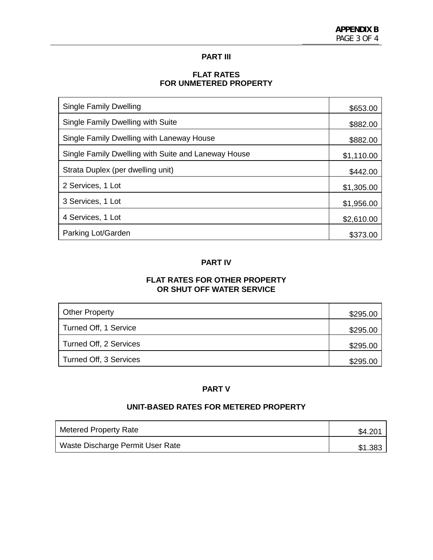### **PART III**

# **FLAT RATES FOR UNMETERED PROPERTY**

| Single Family Dwelling                              | \$653.00   |
|-----------------------------------------------------|------------|
| Single Family Dwelling with Suite                   | \$882.00   |
| Single Family Dwelling with Laneway House           | \$882.00   |
| Single Family Dwelling with Suite and Laneway House | \$1,110.00 |
| Strata Duplex (per dwelling unit)                   | \$442.00   |
| 2 Services, 1 Lot                                   | \$1,305.00 |
| 3 Services, 1 Lot                                   | \$1,956.00 |
| 4 Services, 1 Lot                                   | \$2,610.00 |
| Parking Lot/Garden                                  | \$373.00   |

### **PART IV**

# **FLAT RATES FOR OTHER PROPERTY OR SHUT OFF WATER SERVICE**

| <b>Other Property</b>  | \$295.00 |
|------------------------|----------|
| Turned Off, 1 Service  | \$295.00 |
| Turned Off, 2 Services | \$295.00 |
| Turned Off, 3 Services | \$295.00 |

### **PART V**

# **UNIT-BASED RATES FOR METERED PROPERTY**

| Metered Property Rate            | \$4.20  |
|----------------------------------|---------|
| Waste Discharge Permit User Rate | \$1.383 |